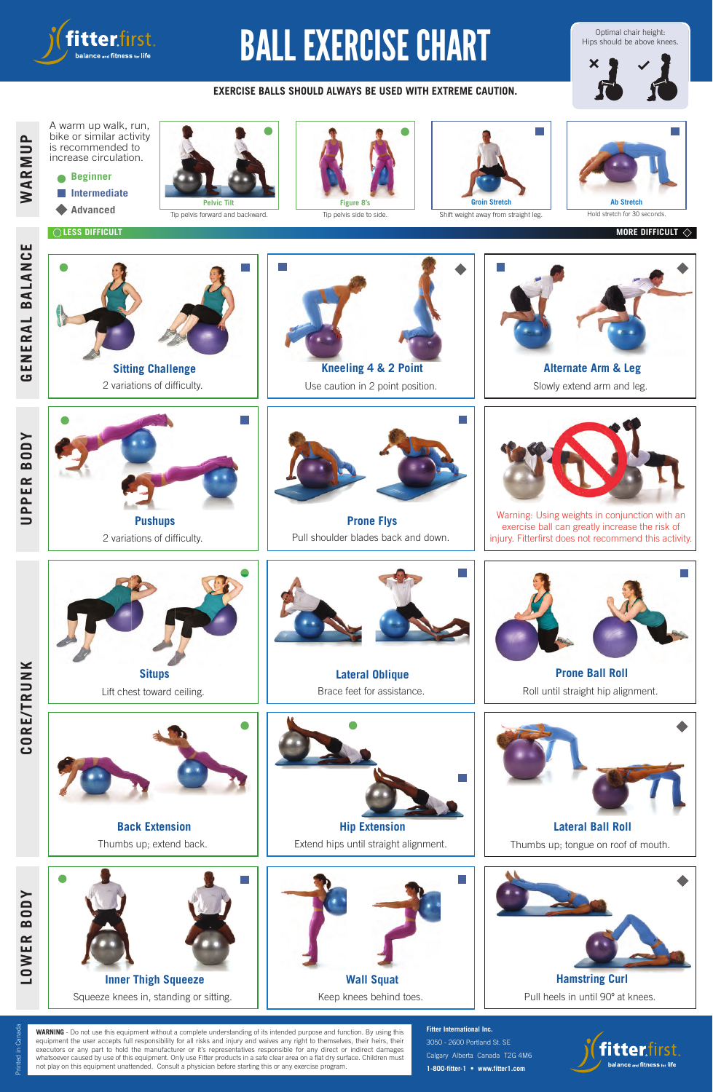# **EXERCISE BALLS SHOULD ALWAYS BE USED WITH EXTREME CAUTION.**

**LOWER BODY** 

**WARNING** - Do not use this equipment without a complete understanding of its intended purpose and function. By using this equipment the user accepts full responsibility for all risks and injury and waives any right to themselves, their heirs, their executors or any part to hold the manufacturer or it's representatives responsible for any direct or indirect damages whatsoever caused by use of this equipment. Only use Fitter products in a safe clear area on a flat dry surface. Children must not play on this equipment unattended. Consult a physician before starting this or any exercise program.

**Kneeling 4 & 2 Point** 2 variations of difficulty.  $\|\cdot\|$  Use caution in 2 point position.  $\|\cdot\|$  Slowly extend arm and leg.



UPPER BODY

**Beginner**

**Intermediate**

**Advanced**

 $\bullet$ 









2 variations of difficulty. **Pull shoulder blades back and down.** 

















Brace feet for assistance. Roll until straight hip alignment.



Tip pelvis forward and backward.

# **Pelvic Tilt**



Tip pelvis side to side.

Shift weight away from straight leg.





Hold stretch for 30 seconds.

# $\overline{\phantom{a}}$   $\overline{\phantom{a}}$   $\overline{\phantom{a}}$   $\overline{\phantom{a}}$   $\overline{\phantom{a}}$   $\overline{\phantom{a}}$   $\overline{\phantom{a}}$   $\overline{\phantom{a}}$   $\overline{\phantom{a}}$   $\overline{\phantom{a}}$   $\overline{\phantom{a}}$   $\overline{\phantom{a}}$   $\overline{\phantom{a}}$   $\overline{\phantom{a}}$   $\overline{\phantom{a}}$   $\overline{\phantom{a}}$   $\overline{\phantom{a}}$   $\overline{\phantom{a}}$   $\overline{\$

**Alternate Arm & Leg**

**Lateral Ball Roll**

Thumbs up; tongue on roof of mouth.

**Hip Extension**

Extend hips until straight alignment.

A warm up walk, run, bike or similar activity is recommended to increase circulation.



# BALL EXERCISE CHART

# **Fitter International Inc.**

3050 - 2600 Portland St. SE Calgary Alberta Canada T2G 4M6

**1-800-fitter-1 • www.fitter1.com**





Warning: Using weights in conjunction with an exercise ball can greatly increase the risk of injury. Fitterfirst does not recommend this activity.